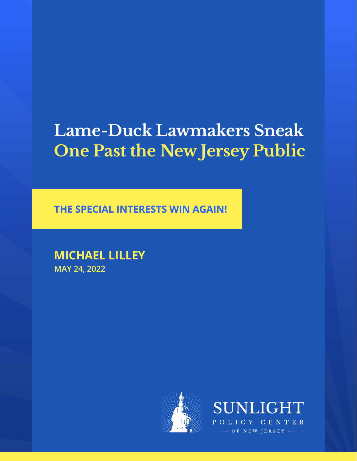# **Lame-Duck Lawmakers Sneak One Past the New Jersey Public**

**THE SPECIAL INTERESTS WIN AGAIN!**

**MICHAEL LILLEY MAY 24, 2022**



**SUNLIGE** LICY CENTER OF NEW IERSEY -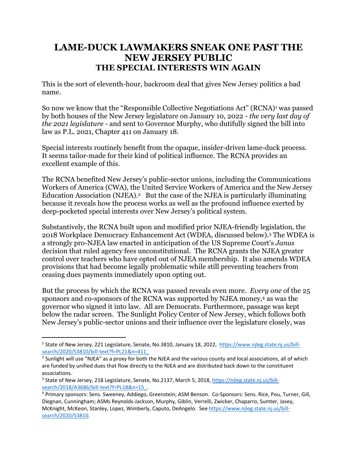### **LAME-DUCK LAWMAKERS SNEAK ONE PAST THE NEW JERSEY PUBLIC THE SPECIAL INTERESTS WIN AGAIN**

This is the sort of eleventh-hour, backroom deal that gives New Jersey politics a bad name.

So now we know that the "Responsible Collective Negotiations Act" (RCNA)<sup>1</sup> was passed by both houses of the New Jersey legislature on January 10, 2022 - *the very last day of the 2021 legislature* - and sent to Governor Murphy, who dutifully signed the bill into law as P.L. 2021, Chapter 411 on January 18.

Special interests routinely benefit from the opaque, insider-driven lame-duck process. It seems tailor-made for their kind of political influence. The RCNA provides an excellent example of this.

The RCNA benefited New Jersey's public-sector unions, including the Communications Workers of America (CWA), the United Service Workers of America and the New Jersey Education Association (NJEA).<sup>2</sup> But the case of the NJEA is particularly illuminating because it reveals how the process works as well as the profound influence exerted by deep-pocketed special interests over New Jersey's political system.

Substantively, the RCNA built upon and modified prior NJEA-friendly legislation, the 2018 Workplace Democracy Enhancement Act (WDEA, discussed below).3 The WDEA is a strongly pro-NJEA law enacted in anticipation of the US Supreme Court's *Janus* decision that ruled agency fees unconstitutional. The RCNA grants the NJEA greater control over teachers who have opted out of NJEA membership. It also amends WDEA provisions that had become legally problematic while still preventing teachers from ceasing dues payments immediately upon opting out.

But the process by which the RCNA was passed reveals even more. *Every one* of the 25 sponsors and co-sponsors of the RCNA was supported by NJEA money,4 as was the governor who signed it into law. All are Democrats. Furthermore, passage was kept below the radar screen. The Sunlight Policy Center of New Jersey, which follows both New Jersey's public-sector unions and their influence over the legislature closely, was

<sup>1</sup> State of New Jersey, 221 Legislature, Senate, No.3810, January 18, 2022, https://www.njleg.state.nj.us/billsearch/2020/S3810/bill-text?f=PL21&n=411\_

<sup>&</sup>lt;sup>2</sup> Sunlight will use "NJEA" as a proxy for both the NJEA and the various county and local associations, all of which are funded by unified dues that flow directly to the NJEA and are distributed back down to the constituent associations.

<sup>&</sup>lt;sup>3</sup> State of New Jersey, 218 Legislature, Senate, No.2137, March 5, 2018, https://njleg.state.nj.us/billsearch/2018/A3686/bill-text?f=PL18&n=15\_.

<sup>4</sup> Primary sponsors: Sens. Sweeney, Addiego, Greenstein; ASM Benson. Co-Sponsors: Sens. Rice, Pou, Turner, Gill, Diegnan, Cunningham; ASMs Reynolds-Jackson, Murphy, Giblin, Verrelli, Zwicker, Chaparro, Sumter, Jasey, McKnight, McKeon, Stanley, Lopez, Wimberly, Caputo, DeAngelo. See https://www.njleg.state.nj.us/billsearch/2020/S3810.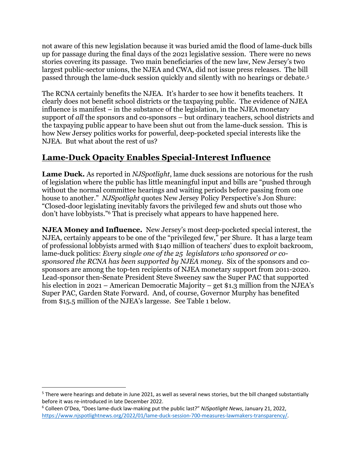not aware of this new legislation because it was buried amid the flood of lame-duck bills up for passage during the final days of the 2021 legislative session. There were no news stories covering its passage. Two main beneficiaries of the new law, New Jersey's two largest public-sector unions, the NJEA and CWA, did not issue press releases. The bill passed through the lame-duck session quickly and silently with no hearings or debate.5

The RCNA certainly benefits the NJEA. It's harder to see how it benefits teachers. It clearly does not benefit school districts or the taxpaying public. The evidence of NJEA influence is manifest – in the substance of the legislation, in the NJEA monetary support of *all* the sponsors and co-sponsors – but ordinary teachers, school districts and the taxpaying public appear to have been shut out from the lame-duck session. This is how New Jersey politics works for powerful, deep-pocketed special interests like the NJEA. But what about the rest of us?

### **Lame-Duck Opacity Enables Special-Interest Influence**

**Lame Duck.** As reported in *NJSpotlight*, lame duck sessions are notorious for the rush of legislation where the public has little meaningful input and bills are "pushed through without the normal committee hearings and waiting periods before passing from one house to another." *NJSpotlight* quotes New Jersey Policy Perspective's Jon Shure: "Closed-door legislating inevitably favors the privileged few and shuts out those who don't have lobbyists."6 That is precisely what appears to have happened here.

**NJEA Money and Influence.** New Jersey's most deep-pocketed special interest, the NJEA, certainly appears to be one of the "privileged few," per Shure. It has a large team of professional lobbyists armed with \$140 million of teachers' dues to exploit backroom, lame-duck politics: *Every single one of the 25 legislators who sponsored or cosponsored the RCNA has been supported by NJEA money*. Six of the sponsors and cosponsors are among the top-ten recipients of NJEA monetary support from 2011-2020. Lead-sponsor then-Senate President Steve Sweeney saw the Super PAC that supported his election in 2021 – American Democratic Majority – get \$1.3 million from the NJEA's Super PAC, Garden State Forward. And, of course, Governor Murphy has benefited from \$15.5 million of the NJEA's largesse. See Table 1 below.

<sup>&</sup>lt;sup>5</sup> There were hearings and debate in June 2021, as well as several news stories, but the bill changed substantially before it was re-introduced in late December 2022.<br><sup>6</sup> Colleen O'Dea, "Does lame-duck law-making put the public last?" *NJSpotlight News*, January 21, 2022,

https://www.njspotlightnews.org/2022/01/lame-duck-session-700-measures-lawmakers-transparency/.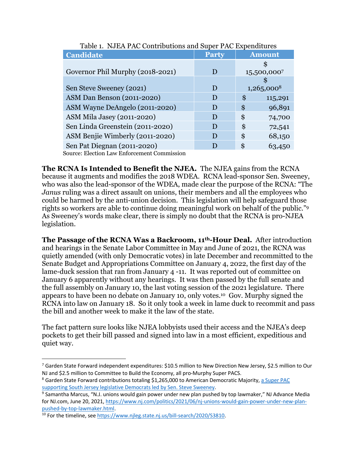| adio 11 Thomas Life Contributions and super Tric mipenditures |              |               |         |
|---------------------------------------------------------------|--------------|---------------|---------|
| <b>Candidate</b>                                              | <b>Party</b> | <b>Amount</b> |         |
|                                                               |              |               |         |
| Governor Phil Murphy (2018-2021)                              | D            | 15,500,0007   |         |
|                                                               |              |               |         |
| Sen Steve Sweeney (2021)                                      | D            | $1,265,000^8$ |         |
| ASM Dan Benson (2011-2020)                                    | D            | \$            | 115,291 |
| ASM Wayne DeAngelo (2011-2020)                                | D            | \$            | 96,891  |
| ASM Mila Jasey (2011-2020)                                    | D            | \$            | 74,700  |
| Sen Linda Greenstein (2011-2020)                              | $\mathbf{D}$ | \$            | 72,541  |
| ASM Benjie Wimberly (2011-2020)                               | D            | \$            | 68,150  |
| Sen Pat Diegnan (2011-2020)                                   | D            | \$            | 63,450  |
| Source: Election Law Enforcement Commission                   |              |               |         |

Table 1. NJEA PAC Contributions and Super PAC Expenditures

irce: Election Law Enforcement Commission

**The RCNA Is Intended to Benefit the NJEA.** The NJEA gains from the RCNA because it augments and modifies the 2018 WDEA. RCNA lead-sponsor Sen. Sweeney, who was also the lead-sponsor of the WDEA, made clear the purpose of the RCNA: "The *Janus* ruling was a direct assault on unions, their members and all the employees who could be harmed by the anti-union decision. This legislation will help safeguard those rights so workers are able to continue doing meaningful work on behalf of the public."9 As Sweeney's words make clear, there is simply no doubt that the RCNA is pro-NJEA legislation.

**The Passage of the RCNA Was a Backroom, 11th-Hour Deal.** After introduction and hearings in the Senate Labor Committee in May and June of 2021, the RCNA was quietly amended (with only Democratic votes) in late December and recommitted to the Senate Budget and Appropriations Committee on January 4, 2022, the first day of the lame-duck session that ran from January 4 -11. It was reported out of committee on January 6 apparently without any hearings. It was then passed by the full senate and the full assembly on January 10, the last voting session of the 2021 legislature. There appears to have been no debate on January 10, only votes.10 Gov. Murphy signed the RCNA into law on January 18. So it only took a week in lame duck to recommit and pass the bill and another week to make it the law of the state.

The fact pattern sure looks like NJEA lobbyists used their access and the NJEA's deep pockets to get their bill passed and signed into law in a most efficient, expeditious and quiet way.

<sup>7</sup> Garden State Forward independent expenditures: \$10.5 million to New Direction New Jersey, \$2.5 million to Our NJ and \$2.5 million to Committee to Build the Economy, all pro-Murphy Super PACS.<br><sup>8</sup> Garden State Forward contributions totaling \$1,265,000 to American Democratic Majority, a Super PAC

supporting South Jersey legislative Democrats led by Sen. Steve Sweeney.<br><sup>9</sup> Samantha Marcus, "N.J. unions would gain power under new plan pushed by top lawmaker," NJ Advance Media

for NJ.com, June 20, 2021, https://www.nj.com/politics/2021/06/nj-unions-would-gain-power-under-new-planpushed-by-top-lawmaker.html.<br><sup>10</sup> For the timeline, see https://www.njleg.state.nj.us/bill-search/2020/S3810.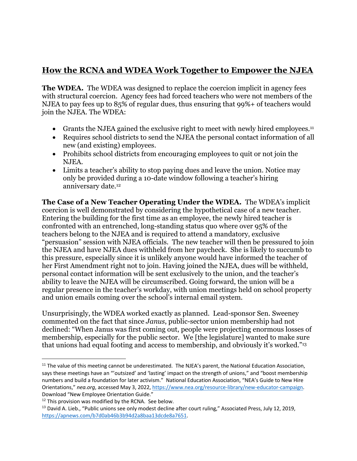## **How the RCNA and WDEA Work Together to Empower the NJEA**

**The WDEA.** The WDEA was designed to replace the coercion implicit in agency fees with structural coercion. Agency fees had forced teachers who were not members of the NJEA to pay fees up to 85% of regular dues, thus ensuring that 99%+ of teachers would join the NJEA. The WDEA:

- Grants the NJEA gained the exclusive right to meet with newly hired employees.<sup>11</sup>
- Requires school districts to send the NJEA the personal contact information of all new (and existing) employees.
- Prohibits school districts from encouraging employees to quit or not join the NJEA.
- Limits a teacher's ability to stop paying dues and leave the union. Notice may only be provided during a 10-date window following a teacher's hiring anniversary date.12

**The Case of a New Teacher Operating Under the WDEA.** The WDEA's implicit coercion is well demonstrated by considering the hypothetical case of a new teacher. Entering the building for the first time as an employee, the newly hired teacher is confronted with an entrenched, long-standing status quo where over 95% of the teachers belong to the NJEA and is required to attend a mandatory, exclusive "persuasion" session with NJEA officials. The new teacher will then be pressured to join the NJEA and have NJEA dues withheld from her paycheck. She is likely to succumb to this pressure, especially since it is unlikely anyone would have informed the teacher of her First Amendment right not to join. Having joined the NJEA, dues will be withheld, personal contact information will be sent exclusively to the union, and the teacher's ability to leave the NJEA will be circumscribed. Going forward, the union will be a regular presence in the teacher's workday, with union meetings held on school property and union emails coming over the school's internal email system.

Unsurprisingly, the WDEA worked exactly as planned. Lead-sponsor Sen. Sweeney commented on the fact that since *Janus*, public-sector union membership had not declined: "When Janus was first coming out, people were projecting enormous losses of membership, especially for the public sector. We [the legislature] wanted to make sure that unions had equal footing and access to membership, and obviously it's worked."13

<sup>&</sup>lt;sup>11</sup> The value of this meeting cannot be underestimated. The NJEA's parent, the National Education Association, says these meetings have an "'outsized' and 'lasting' impact on the strength of unions," and "boost membership numbers and build a foundation for later activism." National Education Association, "NEA's Guide to New Hire Orientations," nea.org, accessed May 3, 2022, https://www.nea.org/resource-library/new-educator-campaign. Download "New Employee Orientation Guide."

<sup>&</sup>lt;sup>12</sup> This provision was modified by the RCNA. See below.<br><sup>13</sup> David A. Lieb., "Public unions see only modest decline after court ruling," Associated Press, July 12, 2019, https://apnews.com/b7d0ab46b3b94d2a8baa13dcde8a7651.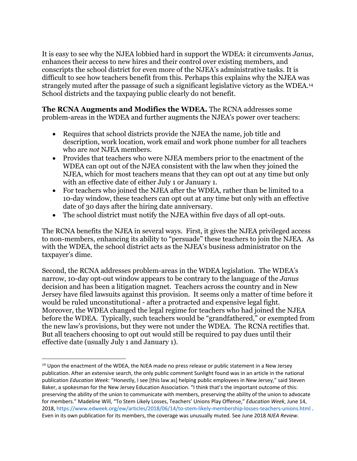It is easy to see why the NJEA lobbied hard in support the WDEA: it circumvents *Janus*, enhances their access to new hires and their control over existing members, and conscripts the school district for even more of the NJEA's administrative tasks. It is difficult to see how teachers benefit from this. Perhaps this explains why the NJEA was strangely muted after the passage of such a significant legislative victory as the WDEA.14 School districts and the taxpaying public clearly do not benefit.

**The RCNA Augments and Modifies the WDEA.** The RCNA addresses some problem-areas in the WDEA and further augments the NJEA's power over teachers:

- Requires that school districts provide the NJEA the name, job title and description, work location, work email and work phone number for all teachers who are *not* NJEA members.
- Provides that teachers who were NJEA members prior to the enactment of the WDEA can opt out of the NJEA consistent with the law when they joined the NJEA, which for most teachers means that they can opt out at any time but only with an effective date of either July 1 or January 1.
- For teachers who joined the NJEA after the WDEA, rather than be limited to a 10-day window, these teachers can opt out at any time but only with an effective date of 30 days after the hiring date anniversary.
- The school district must notify the NJEA within five days of all opt-outs.

The RCNA benefits the NJEA in several ways. First, it gives the NJEA privileged access to non-members, enhancing its ability to "persuade" these teachers to join the NJEA. As with the WDEA, the school district acts as the NJEA's business administrator on the taxpayer's dime.

Second, the RCNA addresses problem-areas in the WDEA legislation. The WDEA's narrow, 10-day opt-out window appears to be contrary to the language of the *Janus* decision and has been a litigation magnet. Teachers across the country and in New Jersey have filed lawsuits against this provision. It seems only a matter of time before it would be ruled unconstitutional - after a protracted and expensive legal fight. Moreover, the WDEA changed the legal regime for teachers who had joined the NJEA before the WDEA. Typically, such teachers would be "grandfathered," or exempted from the new law's provisions, but they were not under the WDEA. The RCNA rectifies that. But all teachers choosing to opt out would still be required to pay dues until their effective date (usually July 1 and January 1).

<sup>&</sup>lt;sup>14</sup> Upon the enactment of the WDEA, the NJEA made no press release or public statement in a New Jersey publication. After an extensive search, the only public comment Sunlight found was in an article in the national publication *Education Week*: "Honestly, I see [this law as] helping public employees in New Jersey," said Steven Baker, a spokesman for the New Jersey Education Association. "I think that's the important outcome of this: preserving the ability of the union to communicate with members, preserving the ability of the union to advocate for members." Madeline Will, "To Stem Likely Losses, Teachers' Unions Play Offense," *Education Week*, June 14, 2018, https://www.edweek.org/ew/articles/2018/06/14/to-stem-likely-membership-losses-teachers-unions.html . Even in its own publication for its members, the coverage was unusually muted. See June 2018 *NJEA Review*.